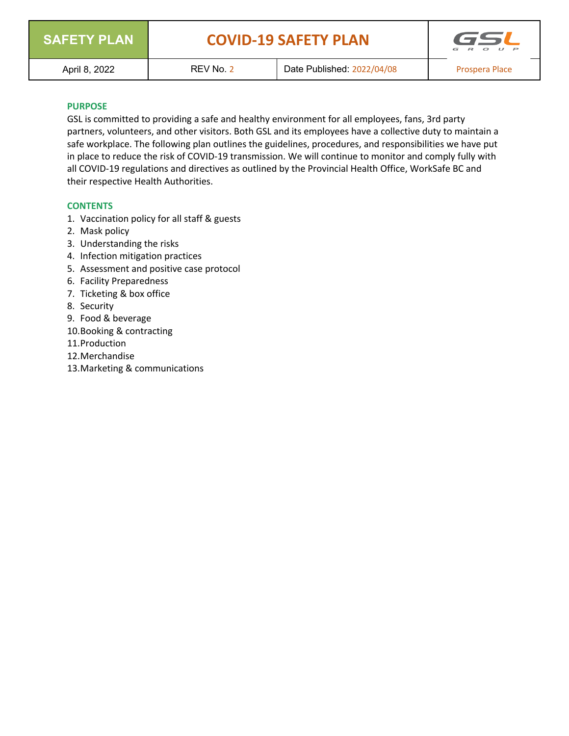

# **SAFETY PLAN COVID-19 SAFETY PLAN**



#### **PURPOSE**

GSL is committed to providing a safe and healthy environment for all employees, fans, 3rd party partners, volunteers, and other visitors. Both GSL and its employees have a collective duty to maintain a safe workplace. The following plan outlines the guidelines, procedures, and responsibilities we have put in place to reduce the risk of COVID-19 transmission. We will continue to monitor and comply fully with all COVID-19 regulations and directives as outlined by the Provincial Health Office, WorkSafe BC and their respective Health Authorities.

#### **CONTENTS**

- 1. Vaccination policy for all staff & guests
- 2. Mask policy
- 3. Understanding the risks
- 4. Infection mitigation practices
- 5. Assessment and positive case protocol
- 6. Facility Preparedness
- 7. Ticketing & box office
- 8. Security
- 9. Food & beverage
- 10.Booking & contracting
- 11.Production
- 12.Merchandise
- 13.Marketing & communications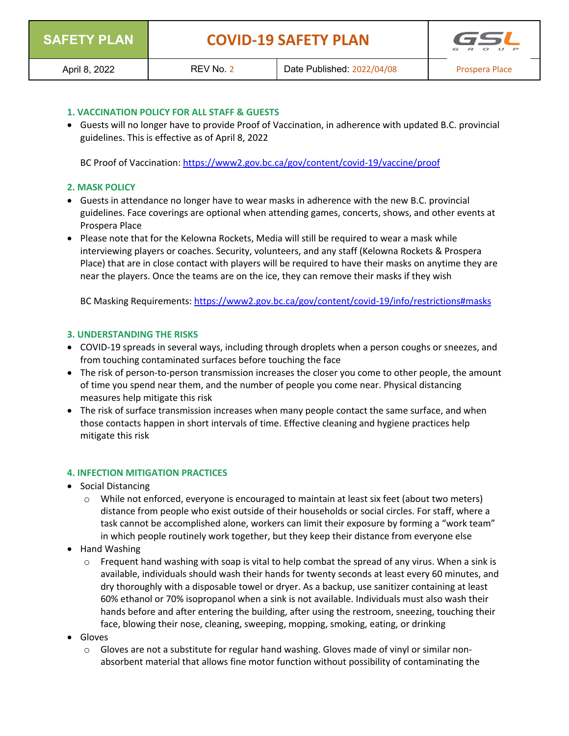

#### **1. VACCINATION POLICY FOR ALL STAFF & GUESTS**

• Guests will no longer have to provide Proof of Vaccination, in adherence with updated B.C. provincial guidelines. This is effective as of April 8, 2022

BC Proof of Vaccination: https://www2.gov.bc.ca/gov/content/covid-19/vaccine/proof

#### **2. MASK POLICY**

- Guests in attendance no longer have to wear masks in adherence with the new B.C. provincial guidelines. Face coverings are optional when attending games, concerts, shows, and other events at Prospera Place
- Please note that for the Kelowna Rockets, Media will still be required to wear a mask while interviewing players or coaches. Security, volunteers, and any staff (Kelowna Rockets & Prospera Place) that are in close contact with players will be required to have their masks on anytime they are near the players. Once the teams are on the ice, they can remove their masks if they wish

BC Masking Requirements: https://www2.gov.bc.ca/gov/content/covid-19/info/restrictions#masks

## **3. UNDERSTANDING THE RISKS**

- COVID-19 spreads in several ways, including through droplets when a person coughs or sneezes, and from touching contaminated surfaces before touching the face
- The risk of person-to-person transmission increases the closer you come to other people, the amount of time you spend near them, and the number of people you come near. Physical distancing measures help mitigate this risk
- The risk of surface transmission increases when many people contact the same surface, and when those contacts happen in short intervals of time. Effective cleaning and hygiene practices help mitigate this risk

#### **4. INFECTION MITIGATION PRACTICES**

- Social Distancing
	- $\circ$  While not enforced, everyone is encouraged to maintain at least six feet (about two meters) distance from people who exist outside of their households or social circles. For staff, where a task cannot be accomplished alone, workers can limit their exposure by forming a "work team" in which people routinely work together, but they keep their distance from everyone else
- Hand Washing
	- $\circ$  Frequent hand washing with soap is vital to help combat the spread of any virus. When a sink is available, individuals should wash their hands for twenty seconds at least every 60 minutes, and dry thoroughly with a disposable towel or dryer. As a backup, use sanitizer containing at least 60% ethanol or 70% isopropanol when a sink is not available. Individuals must also wash their hands before and after entering the building, after using the restroom, sneezing, touching their face, blowing their nose, cleaning, sweeping, mopping, smoking, eating, or drinking
- Gloves
	- $\circ$  Gloves are not a substitute for regular hand washing. Gloves made of vinyl or similar nonabsorbent material that allows fine motor function without possibility of contaminating the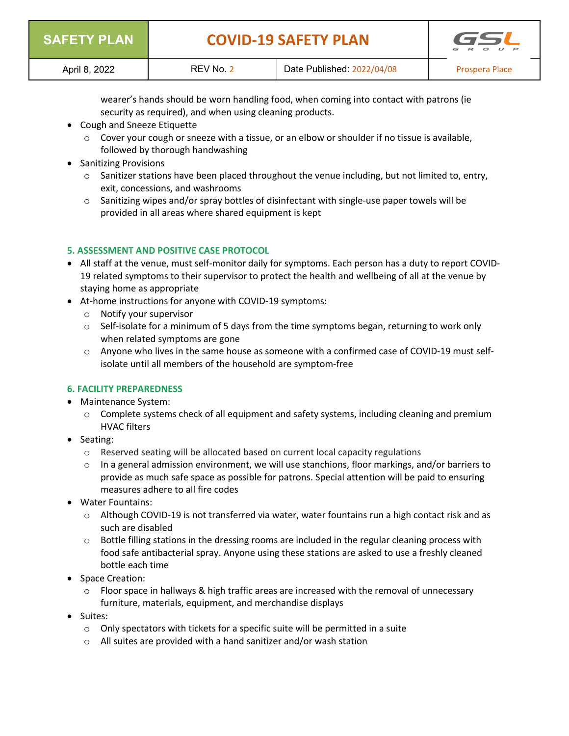| <b>SAFETY PLAN</b> | <b>COVID-19 SAFETY PLAN</b> |                            | GSL<br>R O U P |
|--------------------|-----------------------------|----------------------------|----------------|
| April 8, 2022      | REV No. 2                   | Date Published: 2022/04/08 | Prospera Place |

wearer's hands should be worn handling food, when coming into contact with patrons (ie security as required), and when using cleaning products.

- Cough and Sneeze Etiquette
	- $\circ$  Cover your cough or sneeze with a tissue, or an elbow or shoulder if no tissue is available, followed by thorough handwashing
- Sanitizing Provisions
	- $\circ$  Sanitizer stations have been placed throughout the venue including, but not limited to, entry, exit, concessions, and washrooms
	- $\circ$  Sanitizing wipes and/or spray bottles of disinfectant with single-use paper towels will be provided in all areas where shared equipment is kept

# **5. ASSESSMENT AND POSITIVE CASE PROTOCOL**

- All staff at the venue, must self-monitor daily for symptoms. Each person has a duty to report COVID-19 related symptoms to their supervisor to protect the health and wellbeing of all at the venue by staying home as appropriate
- At-home instructions for anyone with COVID-19 symptoms:
	- o Notify your supervisor
	- $\circ$  Self-isolate for a minimum of 5 days from the time symptoms began, returning to work only when related symptoms are gone
	- $\circ$  Anyone who lives in the same house as someone with a confirmed case of COVID-19 must selfisolate until all members of the household are symptom-free

#### **6. FACILITY PREPAREDNESS**

- Maintenance System:
	- $\circ$  Complete systems check of all equipment and safety systems, including cleaning and premium HVAC filters
- Seating:
	- $\circ$  Reserved seating will be allocated based on current local capacity regulations
	- $\circ$  In a general admission environment, we will use stanchions, floor markings, and/or barriers to provide as much safe space as possible for patrons. Special attention will be paid to ensuring measures adhere to all fire codes
- Water Fountains:
	- o Although COVID-19 is not transferred via water, water fountains run a high contact risk and as such are disabled
	- $\circ$  Bottle filling stations in the dressing rooms are included in the regular cleaning process with food safe antibacterial spray. Anyone using these stations are asked to use a freshly cleaned bottle each time
- Space Creation:
	- $\circ$  Floor space in hallways & high traffic areas are increased with the removal of unnecessary furniture, materials, equipment, and merchandise displays
- Suites:
	- $\circ$  Only spectators with tickets for a specific suite will be permitted in a suite
	- o All suites are provided with a hand sanitizer and/or wash station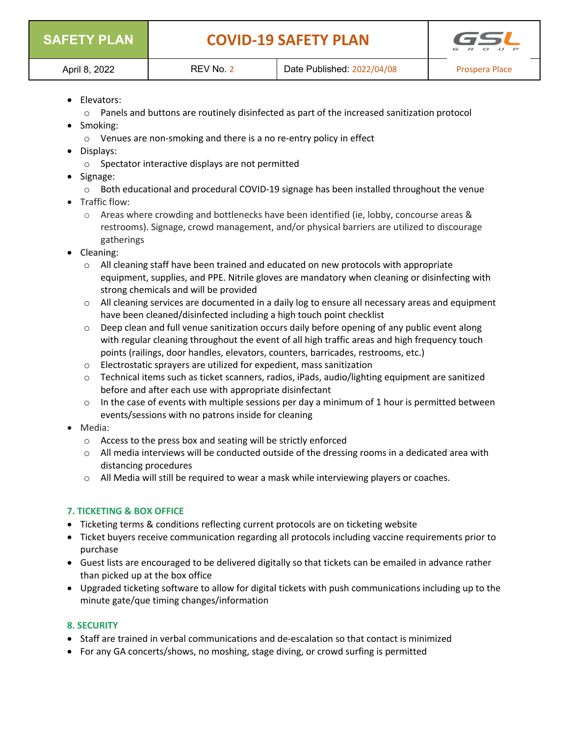|  | <b>SAFETY PLAN</b> |  |  |  |  |
|--|--------------------|--|--|--|--|
|--|--------------------|--|--|--|--|



- Elevators:
	- $\circ$  Panels and buttons are routinely disinfected as part of the increased sanitization protocol
- Smoking:
	- o Venues are non-smoking and there is a no re-entry policy in effect
- Displays:
	- o Spectator interactive displays are not permitted
- Signage:
	- o Both educational and procedural COVID-19 signage has been installed throughout the venue
- Traffic flow:
	- o Areas where crowding and bottlenecks have been identified (ie, lobby, concourse areas & restrooms). Signage, crowd management, and/or physical barriers are utilized to discourage gatherings
- Cleaning:
	- $\circ$  All cleaning staff have been trained and educated on new protocols with appropriate equipment, supplies, and PPE. Nitrile gloves are mandatory when cleaning or disinfecting with strong chemicals and will be provided
	- $\circ$  All cleaning services are documented in a daily log to ensure all necessary areas and equipment have been cleaned/disinfected including a high touch point checklist
	- $\circ$  Deep clean and full venue sanitization occurs daily before opening of any public event along with regular cleaning throughout the event of all high traffic areas and high frequency touch points (railings, door handles, elevators, counters, barricades, restrooms, etc.)
	- o Electrostatic sprayers are utilized for expedient, mass sanitization
	- o Technical items such as ticket scanners, radios, iPads, audio/lighting equipment are sanitized before and after each use with appropriate disinfectant
	- $\circ$  In the case of events with multiple sessions per day a minimum of 1 hour is permitted between events/sessions with no patrons inside for cleaning
- Media:
	- o Access to the press box and seating will be strictly enforced
	- $\circ$  All media interviews will be conducted outside of the dressing rooms in a dedicated area with distancing procedures
	- $\circ$  All Media will still be required to wear a mask while interviewing players or coaches.

# **7. TICKETING & BOX OFFICE**

- Ticketing terms & conditions reflecting current protocols are on ticketing website
- Ticket buyers receive communication regarding all protocols including vaccine requirements prior to purchase
- Guest lists are encouraged to be delivered digitally so that tickets can be emailed in advance rather than picked up at the box office
- Upgraded ticketing software to allow for digital tickets with push communications including up to the minute gate/que timing changes/information

# **8. SECURITY**

- Staff are trained in verbal communications and de-escalation so that contact is minimized
- For any GA concerts/shows, no moshing, stage diving, or crowd surfing is permitted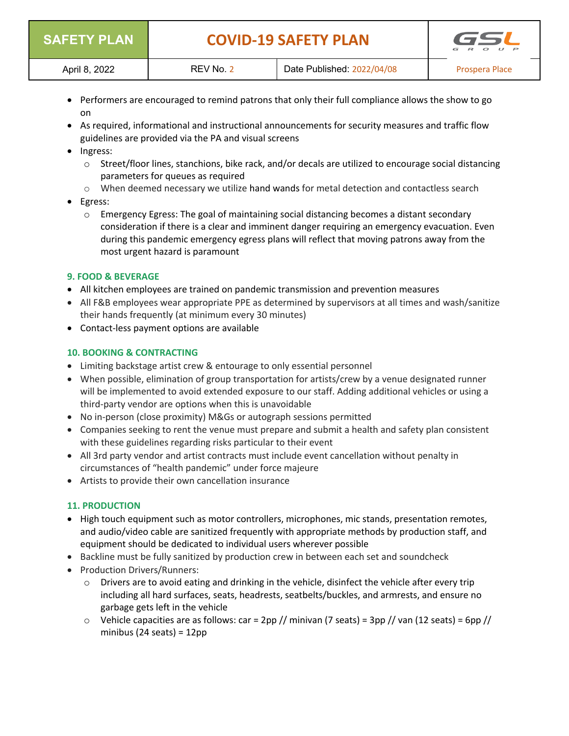| <b>SAFETY PLAN</b> |           | <b>COVID-19 SAFETY PLAN</b> | GSI<br>$\mathbb{R}$<br>$\Omega$<br>$\left  \cdot \right $ |
|--------------------|-----------|-----------------------------|-----------------------------------------------------------|
| April 8, 2022      | REV No. 2 | Date Published: 2022/04/08  | Prospera Place                                            |

- Performers are encouraged to remind patrons that only their full compliance allows the show to go on
- As required, informational and instructional announcements for security measures and traffic flow guidelines are provided via the PA and visual screens
- Ingress:
	- $\circ$  Street/floor lines, stanchions, bike rack, and/or decals are utilized to encourage social distancing parameters for queues as required
	- $\circ$  When deemed necessary we utilize hand wands for metal detection and contactless search

## • Egress:

 $\circ$  Emergency Egress: The goal of maintaining social distancing becomes a distant secondary consideration if there is a clear and imminent danger requiring an emergency evacuation. Even during this pandemic emergency egress plans will reflect that moving patrons away from the most urgent hazard is paramount

## **9. FOOD & BEVERAGE**

- All kitchen employees are trained on pandemic transmission and prevention measures
- All F&B employees wear appropriate PPE as determined by supervisors at all times and wash/sanitize their hands frequently (at minimum every 30 minutes)
- Contact-less payment options are available

## **10. BOOKING & CONTRACTING**

- Limiting backstage artist crew & entourage to only essential personnel
- When possible, elimination of group transportation for artists/crew by a venue designated runner will be implemented to avoid extended exposure to our staff. Adding additional vehicles or using a third-party vendor are options when this is unavoidable
- No in-person (close proximity) M&Gs or autograph sessions permitted
- Companies seeking to rent the venue must prepare and submit a health and safety plan consistent with these guidelines regarding risks particular to their event
- All 3rd party vendor and artist contracts must include event cancellation without penalty in circumstances of "health pandemic" under force majeure
- Artists to provide their own cancellation insurance

#### **11. PRODUCTION**

- High touch equipment such as motor controllers, microphones, mic stands, presentation remotes, and audio/video cable are sanitized frequently with appropriate methods by production staff, and equipment should be dedicated to individual users wherever possible
- Backline must be fully sanitized by production crew in between each set and soundcheck
- Production Drivers/Runners:
	- $\circ$  Drivers are to avoid eating and drinking in the vehicle, disinfect the vehicle after every trip including all hard surfaces, seats, headrests, seatbelts/buckles, and armrests, and ensure no garbage gets left in the vehicle
	- $\circ$  Vehicle capacities are as follows: car = 2pp // minivan (7 seats) = 3pp // van (12 seats) = 6pp // minibus (24 seats) =  $12pp$